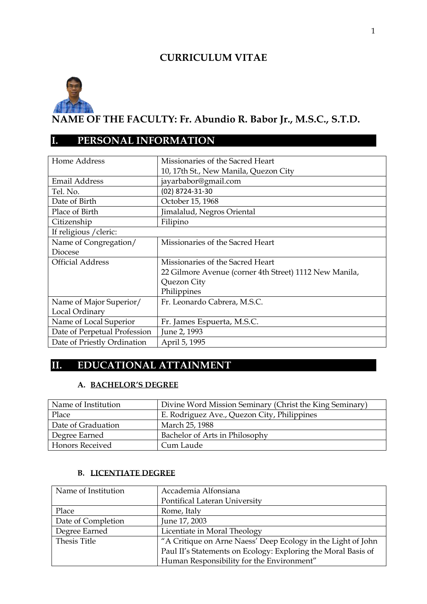## **CURRICULUM VITAE**



# **I. PERSONAL INFORMATION**

| Home Address                 | Missionaries of the Sacred Heart                       |  |  |
|------------------------------|--------------------------------------------------------|--|--|
|                              | 10, 17th St., New Manila, Quezon City                  |  |  |
| Email Address                | jayarbabor@gmail.com                                   |  |  |
| Tel. No.                     | (02) 8724-31-30                                        |  |  |
| Date of Birth                | October 15, 1968                                       |  |  |
| Place of Birth               | Jimalalud, Negros Oriental                             |  |  |
| Citizenship                  | Filipino                                               |  |  |
| If religious / cleric:       |                                                        |  |  |
| Name of Congregation/        | Missionaries of the Sacred Heart                       |  |  |
| Diocese                      |                                                        |  |  |
| <b>Official Address</b>      | Missionaries of the Sacred Heart                       |  |  |
|                              | 22 Gilmore Avenue (corner 4th Street) 1112 New Manila, |  |  |
|                              | Quezon City                                            |  |  |
|                              | Philippines                                            |  |  |
| Name of Major Superior/      | Fr. Leonardo Cabrera, M.S.C.                           |  |  |
| Local Ordinary               |                                                        |  |  |
| Name of Local Superior       | Fr. James Espuerta, M.S.C.                             |  |  |
| Date of Perpetual Profession | June 2, 1993                                           |  |  |
| Date of Priestly Ordination  | April 5, 1995                                          |  |  |

# **II. EDUCATIONAL ATTAINMENT**

### **A. BACHELOR'S DEGREE**

| Name of Institution    | Divine Word Mission Seminary (Christ the King Seminary) |
|------------------------|---------------------------------------------------------|
| Place                  | E. Rodriguez Ave., Quezon City, Philippines             |
| Date of Graduation     | March 25, 1988                                          |
| Degree Earned          | Bachelor of Arts in Philosophy                          |
| <b>Honors Received</b> | Cum Laude                                               |

### **B. LICENTIATE DEGREE**

| Name of Institution | Accademia Alfonsiana                                          |  |
|---------------------|---------------------------------------------------------------|--|
|                     | Pontifical Lateran University                                 |  |
| Place               | Rome, Italy                                                   |  |
| Date of Completion  | June 17, 2003                                                 |  |
| Degree Earned       | Licentiate in Moral Theology                                  |  |
| Thesis Title        | "A Critique on Arne Naess' Deep Ecology in the Light of John  |  |
|                     | Paul II's Statements on Ecology: Exploring the Moral Basis of |  |
|                     | Human Responsibility for the Environment"                     |  |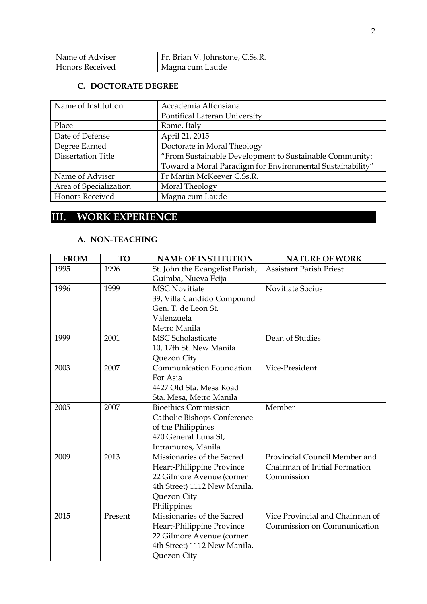| Name of Adviser        | Fr. Brian V. Johnstone, C.Ss.R. |
|------------------------|---------------------------------|
| <b>Honors Received</b> | Magna cum Laude                 |

### **C. DOCTORATE DEGREE**

| Name of Institution       | Accademia Alfonsiana                                      |
|---------------------------|-----------------------------------------------------------|
|                           | Pontifical Lateran University                             |
| Place                     | Rome, Italy                                               |
| Date of Defense           | April 21, 2015                                            |
| Degree Earned             | Doctorate in Moral Theology                               |
| <b>Dissertation Title</b> | "From Sustainable Development to Sustainable Community:   |
|                           | Toward a Moral Paradigm for Environmental Sustainability" |
| Name of Adviser           | Fr Martin McKeever C.Ss.R.                                |
| Area of Specialization    | Moral Theology                                            |
| <b>Honors Received</b>    | Magna cum Laude                                           |

# **III. WORK EXPERIENCE**

#### **A. NON-TEACHING**

| <b>FROM</b> | TO      | <b>NAME OF INSTITUTION</b>      | <b>NATURE OF WORK</b>           |
|-------------|---------|---------------------------------|---------------------------------|
| 1995        | 1996    | St. John the Evangelist Parish, | <b>Assistant Parish Priest</b>  |
|             |         | Guimba, Nueva Ecija             |                                 |
| 1996        | 1999    | <b>MSC Novitiate</b>            | Novitiate Socius                |
|             |         | 39, Villa Candido Compound      |                                 |
|             |         | Gen. T. de Leon St.             |                                 |
|             |         | Valenzuela                      |                                 |
|             |         | Metro Manila                    |                                 |
| 1999        | 2001    | <b>MSC Scholasticate</b>        | Dean of Studies                 |
|             |         | 10, 17th St. New Manila         |                                 |
|             |         | Quezon City                     |                                 |
| 2003        | 2007    | Communication Foundation        | Vice-President                  |
|             |         | For Asia                        |                                 |
|             |         | 4427 Old Sta. Mesa Road         |                                 |
|             |         | Sta. Mesa, Metro Manila         |                                 |
| 2005        | 2007    | <b>Bioethics Commission</b>     | Member                          |
|             |         | Catholic Bishops Conference     |                                 |
|             |         | of the Philippines              |                                 |
|             |         | 470 General Luna St,            |                                 |
|             |         | Intramuros, Manila              |                                 |
| 2009        | 2013    | Missionaries of the Sacred      | Provincial Council Member and   |
|             |         | Heart-Philippine Province       | Chairman of Initial Formation   |
|             |         | 22 Gilmore Avenue (corner       | Commission                      |
|             |         | 4th Street) 1112 New Manila,    |                                 |
|             |         | Quezon City                     |                                 |
|             |         | Philippines                     |                                 |
| 2015        | Present | Missionaries of the Sacred      | Vice Provincial and Chairman of |
|             |         | Heart-Philippine Province       | Commission on Communication     |
|             |         | 22 Gilmore Avenue (corner       |                                 |
|             |         | 4th Street) 1112 New Manila,    |                                 |
|             |         | Quezon City                     |                                 |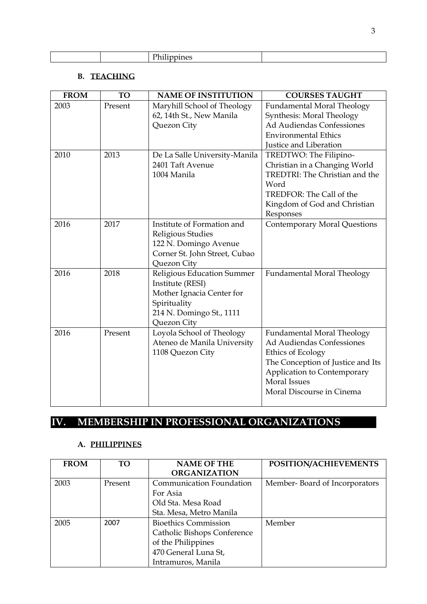| ¬.                                                                                                                                                                                                                                            |  |
|-----------------------------------------------------------------------------------------------------------------------------------------------------------------------------------------------------------------------------------------------|--|
| -----<br>and the contract of the contract of the contract of the contract of the contract of the contract of the contract of the contract of the contract of the contract of the contract of the contract of the contract of the contra<br>__ |  |

### **B. TEACHING**

| Present<br>Maryhill School of Theology<br>2003<br><b>Fundamental Moral Theology</b><br>62, 14th St., New Manila<br>Synthesis: Moral Theology<br>Ad Audiendas Confessiones<br>Quezon City<br><b>Environmental Ethics</b> |  |
|-------------------------------------------------------------------------------------------------------------------------------------------------------------------------------------------------------------------------|--|
|                                                                                                                                                                                                                         |  |
|                                                                                                                                                                                                                         |  |
|                                                                                                                                                                                                                         |  |
|                                                                                                                                                                                                                         |  |
| Justice and Liberation                                                                                                                                                                                                  |  |
| 2010<br>2013<br>De La Salle University-Manila<br>TREDTWO: The Filipino-                                                                                                                                                 |  |
| 2401 Taft Avenue<br>Christian in a Changing World                                                                                                                                                                       |  |
| 1004 Manila<br>TREDTRI: The Christian and the                                                                                                                                                                           |  |
| Word                                                                                                                                                                                                                    |  |
| TREDFOR: The Call of the                                                                                                                                                                                                |  |
| Kingdom of God and Christian                                                                                                                                                                                            |  |
| Responses                                                                                                                                                                                                               |  |
| 2017<br>Institute of Formation and<br>2016<br><b>Contemporary Moral Questions</b>                                                                                                                                       |  |
| Religious Studies                                                                                                                                                                                                       |  |
| 122 N. Domingo Avenue                                                                                                                                                                                                   |  |
| Corner St. John Street, Cubao                                                                                                                                                                                           |  |
| Quezon City                                                                                                                                                                                                             |  |
| 2016<br>2018<br>Religious Education Summer<br>Fundamental Moral Theology                                                                                                                                                |  |
| Institute (RESI)                                                                                                                                                                                                        |  |
| Mother Ignacia Center for                                                                                                                                                                                               |  |
| Spirituality                                                                                                                                                                                                            |  |
| 214 N. Domingo St., 1111                                                                                                                                                                                                |  |
| Quezon City                                                                                                                                                                                                             |  |
| 2016<br>Present<br>Loyola School of Theology<br><b>Fundamental Moral Theology</b>                                                                                                                                       |  |
| Ad Audiendas Confessiones<br>Ateneo de Manila University                                                                                                                                                                |  |
| 1108 Quezon City<br>Ethics of Ecology                                                                                                                                                                                   |  |
| The Conception of Justice and Its                                                                                                                                                                                       |  |
| Application to Contemporary                                                                                                                                                                                             |  |
| <b>Moral Issues</b>                                                                                                                                                                                                     |  |
| Moral Discourse in Cinema                                                                                                                                                                                               |  |

# **IV. MEMBERSHIP IN PROFESSIONAL ORGANIZATIONS**

### **A. PHILIPPINES**

| <b>FROM</b> | <b>TO</b> | <b>NAME OF THE</b>              | POSITION/ACHIEVEMENTS         |
|-------------|-----------|---------------------------------|-------------------------------|
|             |           | <b>ORGANIZATION</b>             |                               |
| 2003        | Present   | <b>Communication Foundation</b> | Member-Board of Incorporators |
|             |           | For Asia                        |                               |
|             |           | Old Sta. Mesa Road              |                               |
|             |           | Sta. Mesa, Metro Manila         |                               |
| 2005        | 2007      | <b>Bioethics Commission</b>     | Member                        |
|             |           | Catholic Bishops Conference     |                               |
|             |           | of the Philippines              |                               |
|             |           | 470 General Luna St,            |                               |
|             |           | Intramuros, Manila              |                               |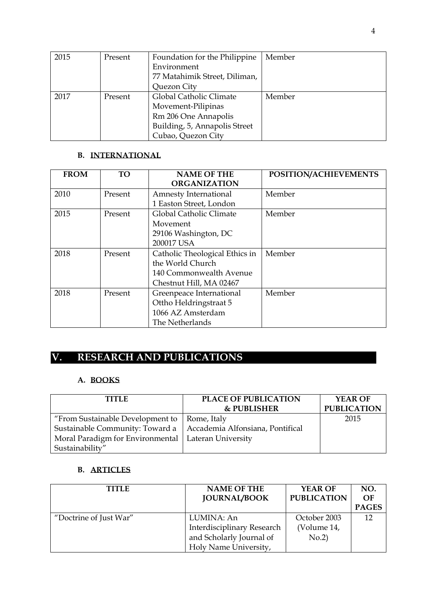| 2015 | Present | Foundation for the Philippine | Member |
|------|---------|-------------------------------|--------|
|      |         | Environment                   |        |
|      |         | 77 Matahimik Street, Diliman, |        |
|      |         | Quezon City                   |        |
| 2017 | Present | Global Catholic Climate       | Member |
|      |         | Movement-Pilipinas            |        |
|      |         | Rm 206 One Annapolis          |        |
|      |         | Building, 5, Annapolis Street |        |
|      |         | Cubao, Quezon City            |        |

#### **B. INTERNATIONAL**

| <b>FROM</b> | <b>TO</b> | <b>NAME OF THE</b><br><b>ORGANIZATION</b> | POSITION/ACHIEVEMENTS |
|-------------|-----------|-------------------------------------------|-----------------------|
| 2010        | Present   | Amnesty International                     | Member                |
|             |           | 1 Easton Street, London                   |                       |
| 2015        | Present   | Global Catholic Climate                   | Member                |
|             |           | Movement                                  |                       |
|             |           | 29106 Washington, DC                      |                       |
|             |           | 200017 USA                                |                       |
| 2018        | Present   | Catholic Theological Ethics in            | Member                |
|             |           | the World Church                          |                       |
|             |           | 140 Commonwealth Avenue                   |                       |
|             |           | Chestnut Hill, MA 02467                   |                       |
| 2018        | Present   | Greenpeace International                  | Member                |
|             |           | Ottho Heldringstraat 5                    |                       |
|             |           | 1066 AZ Amsterdam                         |                       |
|             |           | The Netherlands                           |                       |

# **V. RESEARCH AND PUBLICATIONS**

## **A. BOOKS**

| <b>TITLE</b>                                                       | <b>PLACE OF PUBLICATION</b> | YEAR OF            |
|--------------------------------------------------------------------|-----------------------------|--------------------|
|                                                                    | <b>&amp; PUBLISHER</b>      | <b>PUBLICATION</b> |
| "From Sustainable Development to $\vert$ Rome, Italy               |                             | 2015               |
| Sustainable Community: Toward a   Accademia Alfonsiana, Pontifical |                             |                    |
| Moral Paradigm for Environmental   Lateran University              |                             |                    |
| Sustainability"                                                    |                             |                    |

## **B. ARTICLES**

| <b>TITLE</b>           | <b>NAME OF THE</b><br><b>JOURNAL/BOOK</b> | YEAR OF<br><b>PUBLICATION</b> | NO.<br>$\Omega$ F<br><b>PAGES</b> |
|------------------------|-------------------------------------------|-------------------------------|-----------------------------------|
| "Doctrine of Just War" | LUMINA: An                                | October 2003                  | 12                                |
|                        | Interdisciplinary Research                | (Volume 14,                   |                                   |
|                        | and Scholarly Journal of                  | No.2                          |                                   |
|                        | Holy Name University,                     |                               |                                   |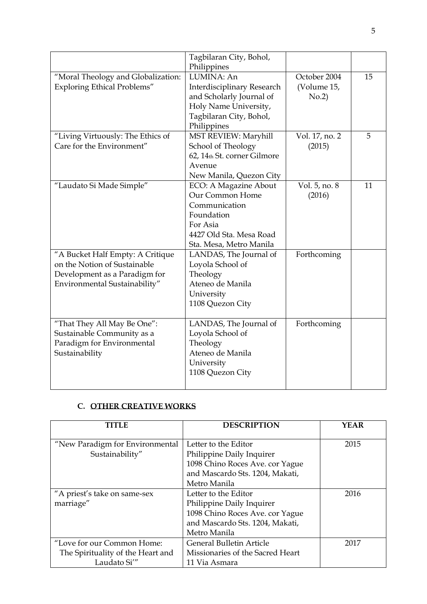|                                                                                                                                    | Tagbilaran City, Bohol,<br>Philippines                                                                                                    |                                      |    |
|------------------------------------------------------------------------------------------------------------------------------------|-------------------------------------------------------------------------------------------------------------------------------------------|--------------------------------------|----|
| "Moral Theology and Globalization:<br><b>Exploring Ethical Problems"</b>                                                           | LUMINA: An<br>Interdisciplinary Research<br>and Scholarly Journal of<br>Holy Name University,<br>Tagbilaran City, Bohol,<br>Philippines   | October 2004<br>(Volume 15,<br>No.2) | 15 |
| "Living Virtuously: The Ethics of<br>Care for the Environment"                                                                     | MST REVIEW: Maryhill<br>School of Theology<br>62, 14th St. corner Gilmore<br>Avenue<br>New Manila, Quezon City                            | Vol. 17, no. 2<br>(2015)             | 5  |
| "Laudato Si Made Simple"                                                                                                           | ECO: A Magazine About<br>Our Common Home<br>Communication<br>Foundation<br>For Asia<br>4427 Old Sta. Mesa Road<br>Sta. Mesa, Metro Manila | Vol. 5, no. 8<br>(2016)              | 11 |
| "A Bucket Half Empty: A Critique<br>on the Notion of Sustainable<br>Development as a Paradigm for<br>Environmental Sustainability" | LANDAS, The Journal of<br>Loyola School of<br>Theology<br>Ateneo de Manila<br>University<br>1108 Quezon City                              | Forthcoming                          |    |
| "That They All May Be One":<br>Sustainable Community as a<br>Paradigm for Environmental<br>Sustainability                          | LANDAS, The Journal of<br>Loyola School of<br>Theology<br>Ateneo de Manila<br>University<br>1108 Quezon City                              | Forthcoming                          |    |

## **C. OTHER CREATIVE WORKS**

| TITIE                                                                           | <b>DESCRIPTION</b>                                                                                                                      | <b>YEAR</b> |
|---------------------------------------------------------------------------------|-----------------------------------------------------------------------------------------------------------------------------------------|-------------|
| "New Paradigm for Environmental<br>Sustainability"                              | Letter to the Editor<br>Philippine Daily Inquirer<br>1098 Chino Roces Ave. cor Yague                                                    | 2015        |
|                                                                                 | and Mascardo Sts. 1204, Makati,<br>Metro Manila                                                                                         |             |
| "A priest's take on same-sex<br>marriage"                                       | Letter to the Editor<br>Philippine Daily Inquirer<br>1098 Chino Roces Ave. cor Yague<br>and Mascardo Sts. 1204, Makati,<br>Metro Manila | 2016        |
| "Love for our Common Home:<br>The Spirituality of the Heart and<br>Laudato Si'" | <b>General Bulletin Article</b><br>Missionaries of the Sacred Heart<br>11 Via Asmara                                                    | 2017        |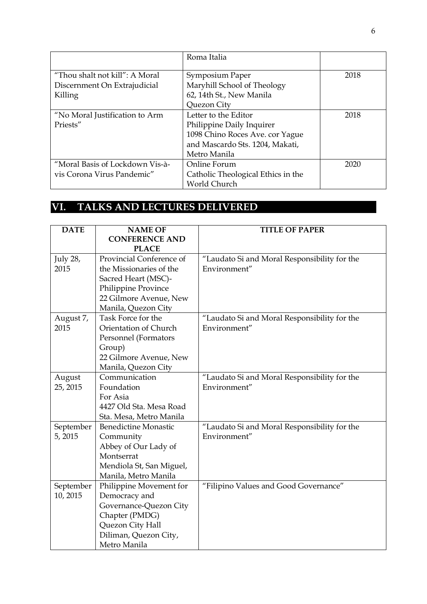|                                 | Roma Italia                        |      |
|---------------------------------|------------------------------------|------|
| "Thou shalt not kill": A Moral  | Symposium Paper                    | 2018 |
| Discernment On Extrajudicial    | Maryhill School of Theology        |      |
| Killing                         | 62, 14th St., New Manila           |      |
|                                 | Quezon City                        |      |
| "No Moral Justification to Arm  | Letter to the Editor               | 2018 |
| Priests"                        | Philippine Daily Inquirer          |      |
|                                 | 1098 Chino Roces Ave. cor Yague    |      |
|                                 | and Mascardo Sts. 1204, Makati,    |      |
|                                 | Metro Manila                       |      |
| "Moral Basis of Lockdown Vis-à- | Online Forum                       | 2020 |
| vis Corona Virus Pandemic"      | Catholic Theological Ethics in the |      |
|                                 | World Church                       |      |

# **VI. TALKS AND LECTURES DELIVERED**

| <b>DATE</b> | <b>NAME OF</b>              | <b>TITLE OF PAPER</b>                        |
|-------------|-----------------------------|----------------------------------------------|
|             | <b>CONFERENCE AND</b>       |                                              |
|             | <b>PLACE</b>                |                                              |
| July 28,    | Provincial Conference of    | "Laudato Si and Moral Responsibility for the |
| 2015        | the Missionaries of the     | Environment"                                 |
|             | Sacred Heart (MSC)-         |                                              |
|             | Philippine Province         |                                              |
|             | 22 Gilmore Avenue, New      |                                              |
|             | Manila, Quezon City         |                                              |
| August 7,   | Task Force for the          | "Laudato Si and Moral Responsibility for the |
| 2015        | Orientation of Church       | Environment"                                 |
|             | Personnel (Formators        |                                              |
|             | Group)                      |                                              |
|             | 22 Gilmore Avenue, New      |                                              |
|             | Manila, Quezon City         |                                              |
| August      | Communication               | "Laudato Si and Moral Responsibility for the |
| 25, 2015    | Foundation                  | Environment"                                 |
|             | For Asia                    |                                              |
|             | 4427 Old Sta. Mesa Road     |                                              |
|             | Sta. Mesa, Metro Manila     |                                              |
| September   | <b>Benedictine Monastic</b> | "Laudato Si and Moral Responsibility for the |
| 5,2015      | Community                   | Environment"                                 |
|             | Abbey of Our Lady of        |                                              |
|             | Montserrat                  |                                              |
|             | Mendiola St, San Miguel,    |                                              |
|             | Manila, Metro Manila        |                                              |
| September   | Philippine Movement for     | "Filipino Values and Good Governance"        |
| 10, 2015    | Democracy and               |                                              |
|             | Governance-Quezon City      |                                              |
|             | Chapter (PMDG)              |                                              |
|             | Quezon City Hall            |                                              |
|             | Diliman, Quezon City,       |                                              |
|             | Metro Manila                |                                              |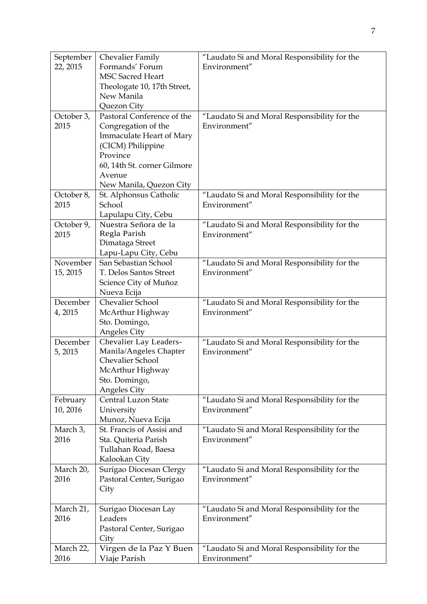| September         | Chevalier Family                             | "Laudato Si and Moral Responsibility for the                 |
|-------------------|----------------------------------------------|--------------------------------------------------------------|
| 22, 2015          | Formands' Forum                              | Environment"                                                 |
|                   | <b>MSC Sacred Heart</b>                      |                                                              |
|                   | Theologate 10, 17th Street,                  |                                                              |
|                   | New Manila                                   |                                                              |
|                   | Quezon City                                  |                                                              |
| October 3,        | Pastoral Conference of the                   | "Laudato Si and Moral Responsibility for the                 |
| 2015              | Congregation of the                          | Environment"                                                 |
|                   | <b>Immaculate Heart of Mary</b>              |                                                              |
|                   | (CICM) Philippine                            |                                                              |
|                   | Province                                     |                                                              |
|                   | 60, 14th St. corner Gilmore                  |                                                              |
|                   | Avenue                                       |                                                              |
|                   | New Manila, Quezon City                      |                                                              |
| October 8,        | St. Alphonsus Catholic                       | "Laudato Si and Moral Responsibility for the                 |
| 2015              | School                                       | Environment"                                                 |
|                   | Lapulapu City, Cebu                          |                                                              |
| October 9,        | Nuestra Señora de la                         | "Laudato Si and Moral Responsibility for the                 |
| 2015              | Regla Parish                                 | Environment"                                                 |
|                   | Dimataga Street                              |                                                              |
| November          | Lapu-Lapu City, Cebu<br>San Sebastian School | "Laudato Si and Moral Responsibility for the                 |
| 15, 2015          | T. Delos Santos Street                       | Environment"                                                 |
|                   | Science City of Muñoz                        |                                                              |
|                   | Nueva Ecija                                  |                                                              |
| December          | Chevalier School                             | "Laudato Si and Moral Responsibility for the                 |
| 4,2015            | McArthur Highway                             | Environment"                                                 |
|                   | Sto. Domingo,                                |                                                              |
|                   | Angeles City                                 |                                                              |
| December          | Chevalier Lay Leaders-                       | "Laudato Si and Moral Responsibility for the                 |
| 5,2015            | Manila/Angeles Chapter                       | Environment"                                                 |
|                   | Chevalier School                             |                                                              |
|                   | McArthur Highway                             |                                                              |
|                   | Sto. Domingo,                                |                                                              |
|                   | Angeles City                                 |                                                              |
| February          | <b>Central Luzon State</b>                   | "Laudato Si and Moral Responsibility for the                 |
| 10, 2016          | University                                   | Environment"                                                 |
|                   | Munoz, Nueva Ecija                           |                                                              |
| March 3,          | St. Francis of Assisi and                    | "Laudato Si and Moral Responsibility for the                 |
| 2016              | Sta. Quiteria Parish                         | Environment"                                                 |
|                   | Tullahan Road, Baesa                         |                                                              |
|                   | Kalookan City                                |                                                              |
| March 20,         | Surigao Diocesan Clergy                      | "Laudato Si and Moral Responsibility for the                 |
| 2016              | Pastoral Center, Surigao                     | Environment"                                                 |
|                   | City                                         |                                                              |
|                   |                                              |                                                              |
| March 21,<br>2016 | Surigao Diocesan Lay<br>Leaders              | "Laudato Si and Moral Responsibility for the<br>Environment" |
|                   |                                              |                                                              |
|                   | Pastoral Center, Surigao<br>City             |                                                              |
| March 22,         | Virgen de la Paz Y Buen                      | "Laudato Si and Moral Responsibility for the                 |
| 2016              | Viaje Parish                                 | Environment"                                                 |
|                   |                                              |                                                              |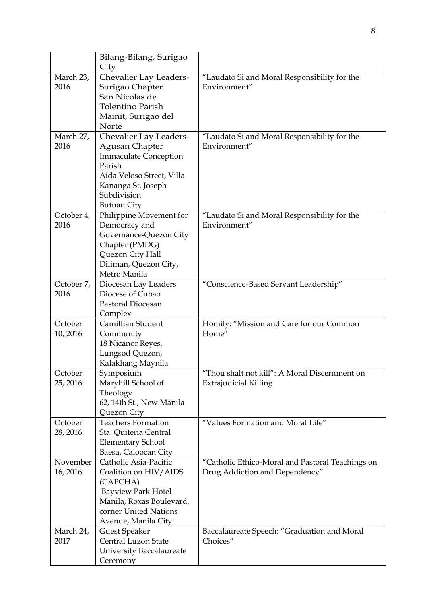|            | Bilang-Bilang, Surigao          |                                                  |
|------------|---------------------------------|--------------------------------------------------|
|            | City                            |                                                  |
| March 23,  | Chevalier Lay Leaders-          | "Laudato Si and Moral Responsibility for the     |
| 2016       | Surigao Chapter                 | Environment"                                     |
|            | San Nicolas de                  |                                                  |
|            | <b>Tolentino Parish</b>         |                                                  |
|            | Mainit, Surigao del             |                                                  |
|            | Norte                           |                                                  |
| March 27,  | Chevalier Lay Leaders-          | "Laudato Si and Moral Responsibility for the     |
| 2016       | <b>Agusan Chapter</b>           | Environment"                                     |
|            | <b>Immaculate Conception</b>    |                                                  |
|            | Parish                          |                                                  |
|            | Aida Veloso Street, Villa       |                                                  |
|            | Kananga St. Joseph              |                                                  |
|            | Subdivision                     |                                                  |
|            | <b>Butuan City</b>              |                                                  |
| October 4, | Philippine Movement for         | "Laudato Si and Moral Responsibility for the     |
| 2016       | Democracy and                   | Environment"                                     |
|            | Governance-Quezon City          |                                                  |
|            | Chapter (PMDG)                  |                                                  |
|            | Quezon City Hall                |                                                  |
|            | Diliman, Quezon City,           |                                                  |
|            | Metro Manila                    |                                                  |
| October 7, | Diocesan Lay Leaders            | "Conscience-Based Servant Leadership"            |
| 2016       | Diocese of Cubao                |                                                  |
|            | Pastoral Diocesan               |                                                  |
|            | Complex                         |                                                  |
| October    | Camillian Student               | Homily: "Mission and Care for our Common         |
| 10, 2016   | Community                       | Home"                                            |
|            | 18 Nicanor Reyes,               |                                                  |
|            | Lungsod Quezon,                 |                                                  |
|            | Kalakhang Maynila               |                                                  |
| October    | Symposium                       | "Thou shalt not kill": A Moral Discernment on    |
| 25, 2016   | Maryhill School of              | <b>Extrajudicial Killing</b>                     |
|            | Theology                        |                                                  |
|            | 62, 14th St., New Manila        |                                                  |
|            | Quezon City                     |                                                  |
| October    | <b>Teachers Formation</b>       | "Values Formation and Moral Life"                |
| 28, 2016   | Sta. Quiteria Central           |                                                  |
|            | <b>Elementary School</b>        |                                                  |
|            | Baesa, Caloocan City            |                                                  |
| November   | Catholic Asia-Pacific           | "Catholic Ethico-Moral and Pastoral Teachings on |
| 16, 2016   | Coalition on HIV/AIDS           | Drug Addiction and Dependency"                   |
|            | (CAPCHA)                        |                                                  |
|            | <b>Bayview Park Hotel</b>       |                                                  |
|            | Manila, Roxas Boulevard,        |                                                  |
|            | corner United Nations           |                                                  |
|            | Avenue, Manila City             |                                                  |
| March 24,  | <b>Guest Speaker</b>            | Baccalaureate Speech: "Graduation and Moral      |
| 2017       | Central Luzon State             | Choices"                                         |
|            | <b>University Baccalaureate</b> |                                                  |
|            | Ceremony                        |                                                  |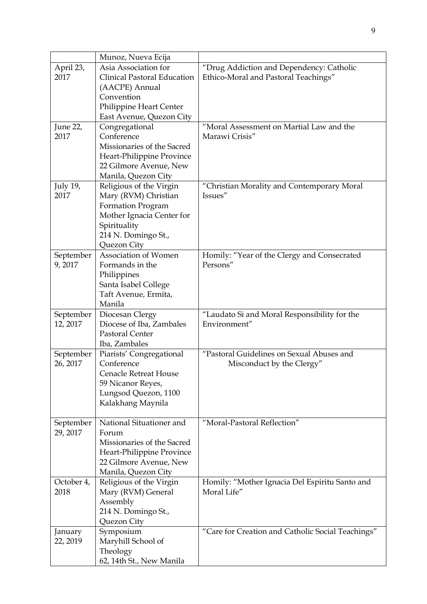|            | Munoz, Nueva Ecija                   |                                                   |
|------------|--------------------------------------|---------------------------------------------------|
| April 23,  | Asia Association for                 | "Drug Addiction and Dependency: Catholic          |
| 2017       | Clinical Pastoral Education          | Ethico-Moral and Pastoral Teachings"              |
|            | (AACPE) Annual                       |                                                   |
|            | Convention                           |                                                   |
|            | Philippine Heart Center              |                                                   |
|            | East Avenue, Quezon City             |                                                   |
| June 22,   | Congregational                       | "Moral Assessment on Martial Law and the          |
| 2017       | Conference                           | Marawi Crisis"                                    |
|            | Missionaries of the Sacred           |                                                   |
|            | Heart-Philippine Province            |                                                   |
|            | 22 Gilmore Avenue, New               |                                                   |
|            | Manila, Quezon City                  |                                                   |
| July 19,   | Religious of the Virgin              | "Christian Morality and Contemporary Moral        |
| 2017       | Mary (RVM) Christian                 | Issues"                                           |
|            | Formation Program                    |                                                   |
|            | Mother Ignacia Center for            |                                                   |
|            | Spirituality                         |                                                   |
|            | 214 N. Domingo St.,                  |                                                   |
|            | Quezon City                          |                                                   |
| September  | Association of Women                 | Homily: "Year of the Clergy and Consecrated       |
| 9,2017     | Formands in the                      | Persons"                                          |
|            | Philippines                          |                                                   |
|            | Santa Isabel College                 |                                                   |
|            | Taft Avenue, Ermita,                 |                                                   |
|            | Manila                               |                                                   |
| September  | Diocesan Clergy                      | "Laudato Si and Moral Responsibility for the      |
|            |                                      | Environment"                                      |
| 12, 2017   | Diocese of Iba, Zambales             |                                                   |
|            | Pastoral Center                      |                                                   |
|            | Iba, Zambales                        |                                                   |
| September  | Piarists' Congregational             | "Pastoral Guidelines on Sexual Abuses and         |
| 26, 2017   | Conference                           | Misconduct by the Clergy"                         |
|            | <b>Cenacle Retreat House</b>         |                                                   |
|            | 59 Nicanor Reyes,                    |                                                   |
|            | Lungsod Quezon, 1100                 |                                                   |
|            | Kalakhang Maynila                    |                                                   |
|            |                                      |                                                   |
| September  | National Situationer and             | "Moral-Pastoral Reflection"                       |
| 29, 2017   | Forum                                |                                                   |
|            | Missionaries of the Sacred           |                                                   |
|            | Heart-Philippine Province            |                                                   |
|            | 22 Gilmore Avenue, New               |                                                   |
|            | Manila, Quezon City                  |                                                   |
| October 4, | Religious of the Virgin              | Homily: "Mother Ignacia Del Espiritu Santo and    |
| 2018       | Mary (RVM) General                   | Moral Life"                                       |
|            | Assembly                             |                                                   |
|            | 214 N. Domingo St.,                  |                                                   |
|            | Quezon City                          |                                                   |
| January    | Symposium                            | "Care for Creation and Catholic Social Teachings" |
| 22, 2019   | Maryhill School of                   |                                                   |
|            | Theology<br>62, 14th St., New Manila |                                                   |